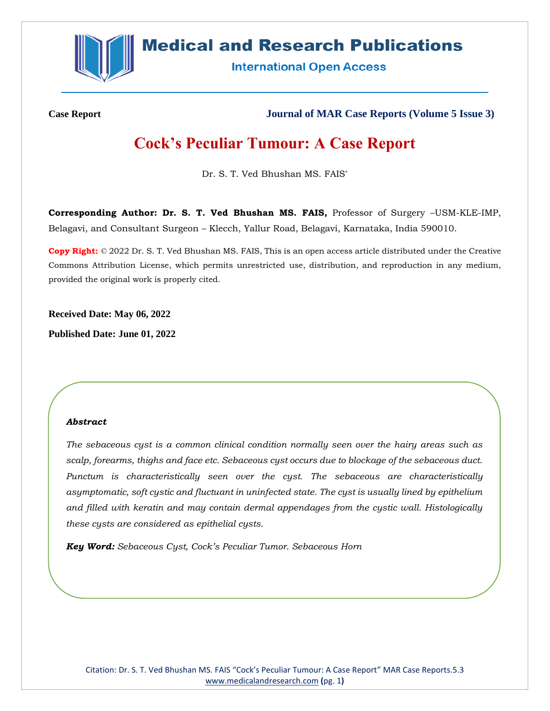

# **Medical and Research Publications**

**International Open Access** 

**Case Report Journal of MAR Case Reports (Volume 5 Issue 3)**

# **Cock's Peculiar Tumour: A Case Report**

Dr. S. T. Ved Bhushan MS. FAIS\*

**Corresponding Author: Dr. S. T. Ved Bhushan MS. FAIS,** Professor of Surgery –USM-KLE-IMP, Belagavi, and Consultant Surgeon – Klecch, Yallur Road, Belagavi, Karnataka, India 590010.

**Copy Right:** © 2022 Dr. S. T. Ved Bhushan MS. FAIS, This is an open access article distributed under the Creative Commons Attribution License, which permits unrestricted use, distribution, and reproduction in any medium, provided the original work is properly cited.

**Received Date: May 06, 2022**

**Published Date: June 01, 2022**

## *Abstract*

*The sebaceous cyst is a common clinical condition normally seen over the hairy areas such as scalp, forearms, thighs and face etc. Sebaceous cyst occurs due to blockage of the sebaceous duct. Punctum is characteristically seen over the cyst. The sebaceous are characteristically asymptomatic, soft cystic and fluctuant in uninfected state. The cyst is usually lined by epithelium and filled with keratin and may contain dermal appendages from the cystic wall. Histologically these cysts are considered as epithelial cysts.*

*Key Word: Sebaceous Cyst, Cock's Peculiar Tumor. Sebaceous Horn*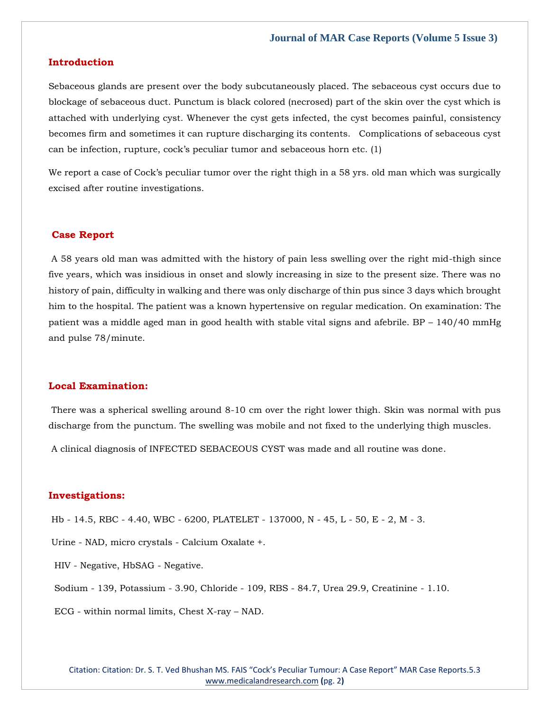#### **Journal of MAR Case Reports (Volume 5 Issue 3)**

## **Introduction**

Sebaceous glands are present over the body subcutaneously placed. The sebaceous cyst occurs due to blockage of sebaceous duct. Punctum is black colored (necrosed) part of the skin over the cyst which is attached with underlying cyst. Whenever the cyst gets infected, the cyst becomes painful, consistency becomes firm and sometimes it can rupture discharging its contents. Complications of sebaceous cyst can be infection, rupture, cock's peculiar tumor and sebaceous horn etc. (1)

We report a case of Cock's peculiar tumor over the right thigh in a 58 yrs. old man which was surgically excised after routine investigations.

#### **Case Report**

A 58 years old man was admitted with the history of pain less swelling over the right mid-thigh since five years, which was insidious in onset and slowly increasing in size to the present size. There was no history of pain, difficulty in walking and there was only discharge of thin pus since 3 days which brought him to the hospital. The patient was a known hypertensive on regular medication. On examination: The patient was a middle aged man in good health with stable vital signs and afebrile. BP – 140/40 mmHg and pulse 78/minute.

## **Local Examination:**

There was a spherical swelling around 8-10 cm over the right lower thigh. Skin was normal with pus discharge from the punctum. The swelling was mobile and not fixed to the underlying thigh muscles.

A clinical diagnosis of INFECTED SEBACEOUS CYST was made and all routine was done.

#### **Investigations:**

Hb - 14.5, RBC - 4.40, WBC - 6200, PLATELET - 137000, N - 45, L - 50, E - 2, M - 3.

Urine - NAD, micro crystals - Calcium Oxalate +.

HIV - Negative, HbSAG - Negative.

Sodium - 139, Potassium - 3.90, Chloride - 109, RBS - 84.7, Urea 29.9, Creatinine - 1.10.

ECG - within normal limits, Chest X-ray – NAD.

Citation: Citation: Dr. S. T. Ved Bhushan MS. FAIS "Cock's Peculiar Tumour: A Case Report" MAR Case Reports.5.3 [www.medicalandresearch.com](http://www.medicalandresearch.com/) **(**pg. 2**)**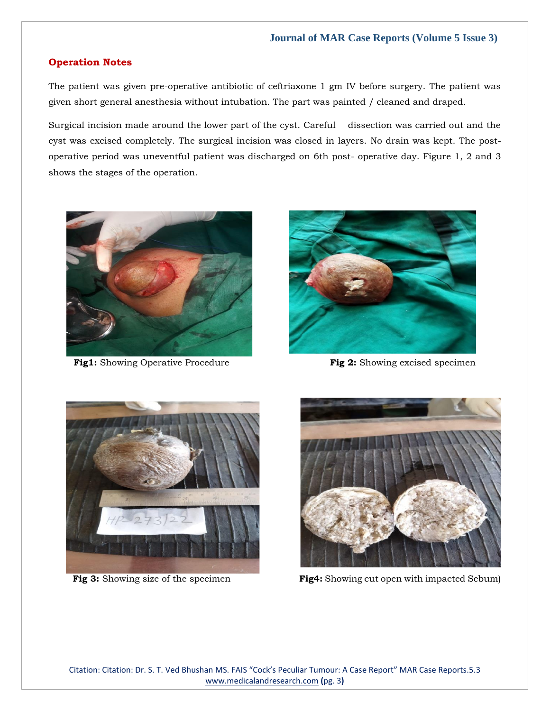# **Journal of MAR Case Reports (Volume 5 Issue 3)**

## **Operation Notes**

The patient was given pre-operative antibiotic of ceftriaxone 1 gm IV before surgery. The patient was given short general anesthesia without intubation. The part was painted / cleaned and draped.

Surgical incision made around the lower part of the cyst. Careful dissection was carried out and the cyst was excised completely. The surgical incision was closed in layers. No drain was kept. The postoperative period was uneventful patient was discharged on 6th post- operative day. Figure 1, 2 and 3 shows the stages of the operation.



**Fig1:** Showing Operative Procedure **Fig 2:** Showing excised specimen







**Fig 3:** Showing size of the specimen **Fig4:** Showing cut open with impacted Sebum)

Citation: Citation: Dr. S. T. Ved Bhushan MS. FAIS "Cock's Peculiar Tumour: A Case Report" MAR Case Reports.5.3 [www.medicalandresearch.com](http://www.medicalandresearch.com/) **(**pg. 3**)**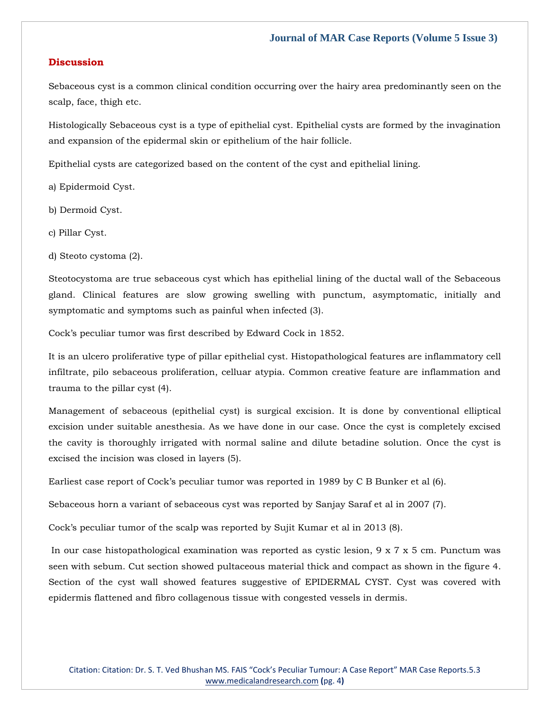## **Discussion**

Sebaceous cyst is a common clinical condition occurring over the hairy area predominantly seen on the scalp, face, thigh etc.

Histologically Sebaceous cyst is a type of epithelial cyst. Epithelial cysts are formed by the invagination and expansion of the epidermal skin or epithelium of the hair follicle.

Epithelial cysts are categorized based on the content of the cyst and epithelial lining.

a) Epidermoid Cyst.

- b) Dermoid Cyst.
- c) Pillar Cyst.
- d) Steoto cystoma (2).

Steotocystoma are true sebaceous cyst which has epithelial lining of the ductal wall of the Sebaceous gland. Clinical features are slow growing swelling with punctum, asymptomatic, initially and symptomatic and symptoms such as painful when infected (3).

Cock's peculiar tumor was first described by Edward Cock in 1852.

It is an ulcero proliferative type of pillar epithelial cyst. Histopathological features are inflammatory cell infiltrate, pilo sebaceous proliferation, celluar atypia. Common creative feature are inflammation and trauma to the pillar cyst (4).

Management of sebaceous (epithelial cyst) is surgical excision. It is done by conventional elliptical excision under suitable anesthesia. As we have done in our case. Once the cyst is completely excised the cavity is thoroughly irrigated with normal saline and dilute betadine solution. Once the cyst is excised the incision was closed in layers (5).

Earliest case report of Cock's peculiar tumor was reported in 1989 by C B Bunker et al (6).

Sebaceous horn a variant of sebaceous cyst was reported by Sanjay Saraf et al in 2007 (7).

Cock's peculiar tumor of the scalp was reported by Sujit Kumar et al in 2013 (8).

In our case histopathological examination was reported as cystic lesion, 9 x 7 x 5 cm. Punctum was seen with sebum. Cut section showed pultaceous material thick and compact as shown in the figure 4. Section of the cyst wall showed features suggestive of EPIDERMAL CYST. Cyst was covered with epidermis flattened and fibro collagenous tissue with congested vessels in dermis.